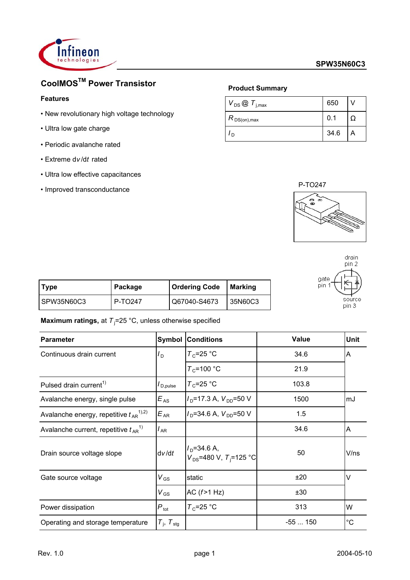

# **CoolMOSTM Power Transistor**

## **Features**

- New revolutionary high voltage technology
- Ultra low gate charge
- Periodic avalanche rated
- Extreme d*v* /d*t* rated
- Ultra low effective capacitances
- Improved transconductance

## **Product Summary**

| $V_{DS}$ $\odot$ $T_{j,max}$ | 650  |  |
|------------------------------|------|--|
| $R_{DS(on),max}$             | 0.1  |  |
| n                            | 34.6 |  |



| gate<br>pin 1 | drain<br>pin 2<br>source |
|---------------|--------------------------|
|               |                          |
|               | pin 3                    |

| Type       | Package | <b>Ordering Code</b> | Marking |
|------------|---------|----------------------|---------|
| SPW35N60C3 | P-TO247 | Q67040-S4673         | 35N60C3 |

**Maximum ratings,** at T<sub>j</sub>=25 °C, unless otherwise specified

| <b>Parameter</b>                                     |                             | <b>Symbol Conditions</b>                                | Value    | Unit        |
|------------------------------------------------------|-----------------------------|---------------------------------------------------------|----------|-------------|
| Continuous drain current                             | $I_D$                       | $T_c$ =25 °C                                            | 34.6     | A           |
|                                                      |                             | $T_c$ =100 °C                                           | 21.9     |             |
| Pulsed drain current <sup>1)</sup>                   | $I_{\sf D,pulse}$           | $T_c = 25$ °C                                           | 103.8    |             |
| Avalanche energy, single pulse                       | $E_{AS}$                    | $ID=17.3 A, VDD=50 V$                                   | 1500     | mJ          |
| Avalanche energy, repetitive $t_{AR}^{(1),2)}$       | $E_{AR}$                    | $I_{\text{D}}$ =34.6 A, $V_{\text{DD}}$ =50 V           | 1.5      |             |
| Avalanche current, repetitive $t_{AR}$ <sup>1)</sup> | $I_{AR}$                    |                                                         | 34.6     | A           |
| Drain source voltage slope                           | dv/dt                       | $ID=34.6 A,$<br>$V_{DS}$ =480 V, T <sub>i</sub> =125 °C | 50       | V/ns        |
| Gate source voltage                                  | $V_{GS}$                    | static                                                  | ±20      | $\vee$      |
|                                                      | $V_{GS}$                    | AC $(f>1 Hz)$                                           | ±30      |             |
| Power dissipation                                    | $P_{\rm tot}$               | $T_c = 25$ °C                                           | 313      | W           |
| Operating and storage temperature                    | $T_{\rm i}$ , $T_{\rm stg}$ |                                                         | $-55150$ | $^{\circ}C$ |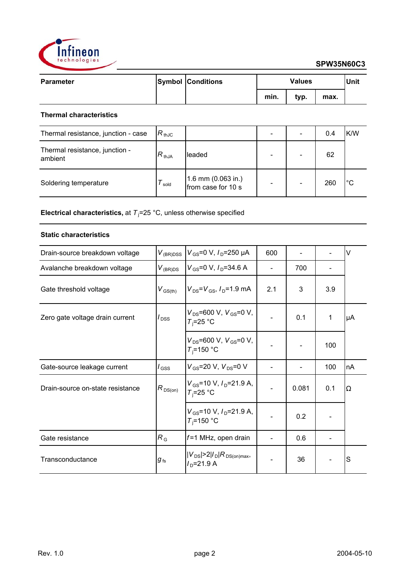

|      | <b>Values</b><br><b>Unit</b> |      |  |
|------|------------------------------|------|--|
| min. | typ.                         | max. |  |

## **Thermal characteristics**

| Thermal resistance, junction - case       | $R_{thJC}$ |                                            |  | 0.4 | K/W     |
|-------------------------------------------|------------|--------------------------------------------|--|-----|---------|
| Thermal resistance, junction -<br>ambient | $R_{thJA}$ | leaded                                     |  | 62  |         |
| Soldering temperature                     | sold       | 1.6 mm $(0.063$ in.)<br>from case for 10 s |  | 260 | $\circ$ |

**Electrical characteristics,** at T<sub>j</sub>=25 °C, unless otherwise specified

## **Static characteristics**

| Drain-source breakdown voltage   | $V_{(BR)DSS}$       | $V_{\rm GS}$ =0 V, $I_{\rm D}$ =250 µA                          | 600 |       |     | $\vee$ |
|----------------------------------|---------------------|-----------------------------------------------------------------|-----|-------|-----|--------|
| Avalanche breakdown voltage      | $V_{(BR)DS}$        | $V_{\rm GS}$ =0 V, $I_{\rm D}$ =34.6 A                          |     | 700   |     |        |
| Gate threshold voltage           | $V_{\text{GS(th)}}$ | $V_{DS} = V_{GS}$ , $I_{D} = 1.9$ mA                            | 2.1 | 3     | 3.9 |        |
| Zero gate voltage drain current  | $I_{\text{DSS}}$    | $V_{DS}$ =600 V, $V_{GS}$ =0 V,<br>$T_i = 25$ °C                |     | 0.1   | 1   | μA     |
|                                  |                     | $V_{DS}$ =600 V, $V_{GS}$ =0 V,<br>$T_i$ =150 °C                |     |       | 100 |        |
| Gate-source leakage current      | $I_{\mathsf{GSS}}$  | $V_{GS}$ =20 V, $V_{DS}$ =0 V                                   |     |       | 100 | nA     |
| Drain-source on-state resistance | $R_{DS(on)}$        | $V_{\text{GS}}$ =10 V, $I_{\text{D}}$ =21.9 A,<br>$T_i = 25$ °C |     | 0.081 | 0.1 | Ω      |
|                                  |                     | $V_{\text{GS}}$ =10 V, $I_{\text{D}}$ =21.9 A,<br>$T_i$ =150 °C |     | 0.2   |     |        |
| Gate resistance                  | $R_{\rm G}$         | $f=1$ MHz, open drain                                           |     | 0.6   |     |        |
| Transconductance                 | $g_{\,\rm fs}$      | $ V_{DS}  > 2 I_D R_{DS(on)max}$<br>$ID=21.9 A$                 |     | 36    |     | S      |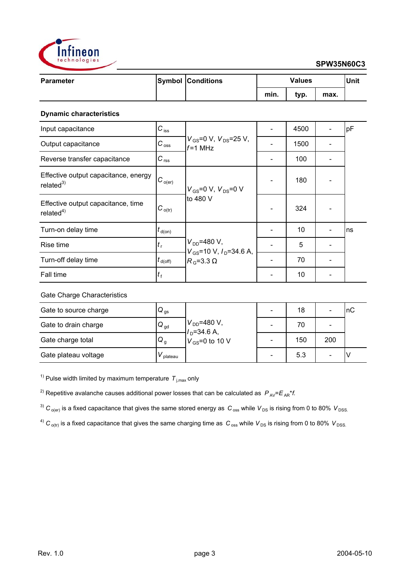

| <b>Parameter</b> | <b>Symbol Conditions</b> | <b>Values</b> |      |      | Unit |
|------------------|--------------------------|---------------|------|------|------|
|                  |                          | min.          | typ. | max. |      |

## **Dynamic characteristics**

| Input capacitance                                    | $C_{\text{iss}}$               |                                                       | 4500 | pF |
|------------------------------------------------------|--------------------------------|-------------------------------------------------------|------|----|
| Output capacitance                                   | $C_{\text{oss}}$               | $V_{\rm GS}$ =0 V, $V_{\rm DS}$ =25 V,<br>$f = 1$ MHz | 1500 |    |
| Reverse transfer capacitance                         | $C_{\text{rss}}$               |                                                       | 100  |    |
| Effective output capacitance, energy<br>related $3)$ | $ C_{o(er)} $                  | $V_{GS}$ =0 V, $V_{DS}$ =0 V<br>to 480 V              | 180  |    |
| Effective output capacitance, time<br>related $4)$   | $C_{o(tr)}$                    |                                                       | 324  |    |
| Turn-on delay time                                   | $t_{\sf d(on)}$                |                                                       | 10   | ns |
| Rise time                                            | $t_{\rm r}$                    | $V_{DD} = 480 V,$<br>$V_{GS}$ =10 V, $I_D$ =34.6 A,   | 5    |    |
| Turn-off delay time                                  | $t_{\mathsf{d}(\mathsf{off})}$ | $R_{\rm G}$ =3.3 $\Omega$                             | 70   |    |
| Fall time                                            | $t_{\rm f}$                    |                                                       | 10   |    |

## Gate Charge Characteristics

| Gate to source charge | $Q_{gs}$        |                                      |                          | 18  |     | InC |
|-----------------------|-----------------|--------------------------------------|--------------------------|-----|-----|-----|
| Gate to drain charge  | $Q_{\text{gd}}$ | $V_{DD}$ =480 V,<br>$V_{D}$ =34.6 A, | $\overline{\phantom{0}}$ | 70  |     |     |
| Gate charge total     | Q <sub>g</sub>  | $V_{\text{GS}}$ =0 to 10 V           |                          | 150 | 200 |     |
| Gate plateau voltage  | plateau         |                                      | $\overline{\phantom{0}}$ | 5.3 |     |     |

<sup>1)</sup> Pulse width limited by maximum temperature  $T_{j,max}$  only

<sup>2)</sup> Repetitive avalanche causes additional power losses that can be calculated as  $P_{AV} = E_{AR} * f$ .

<sup>3)</sup>  $C_{o(er)}$  is a fixed capacitance that gives the same stored energy as  $C_{oss}$  while  $V_{DS}$  is rising from 0 to 80%  $V_{DSS}$ .

 $^4)$  C<sub>o(tr)</sub> is a fixed capacitance that gives the same charging time as  $C_{\text{oss}}$  while  $V_{DS}$  is rising from 0 to 80%  $V_{DSS}$ .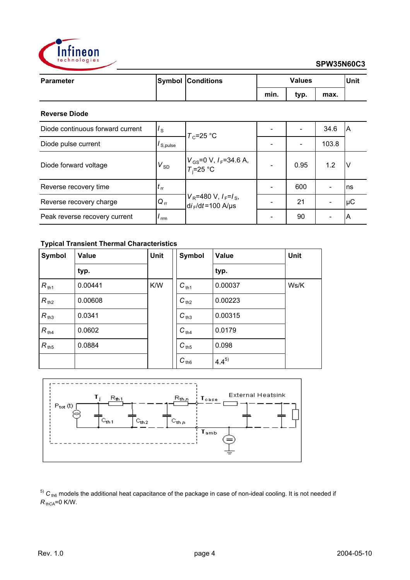

| <b>Parameter</b> | <b>Symbol Conditions</b> | <b>Values</b> |      |      | Unit |
|------------------|--------------------------|---------------|------|------|------|
|                  |                          | min.          | typ. | max. |      |
|                  |                          |               |      |      |      |

## **Reverse Diode**

| Diode continuous forward current | $I_{\rm S}$                | $T_c$ =25 °C                                                  |      | 34.6  | ΙA  |
|----------------------------------|----------------------------|---------------------------------------------------------------|------|-------|-----|
| Diode pulse current              | $I_{S,pulse}$              |                                                               |      | 103.8 |     |
| Diode forward voltage            | $V_{SD}$                   | $V_{GS}$ =0 V, $I_F$ =34.6 A,<br>$T_i$ =25 °C                 | 0.95 | 1.2   | N   |
| Reverse recovery time            | $\mathfrak{c}_{\text{rr}}$ |                                                               | 600  |       | Ins |
| Reverse recovery charge          | $Q_{rr}$                   | $V_R$ =480 V, $I_F$ = $I_S$ ,<br>di <sub>F</sub> /dt=100 A/µs | 21   |       | μC  |
| Peak reverse recovery current    | rrm                        |                                                               | 90   |       | ΙA  |

## **Typical Transient Thermal Characteristics**

| Symbol           | Value   | <b>Unit</b> | Symbol    | <b>Value</b> | Unit |
|------------------|---------|-------------|-----------|--------------|------|
|                  | typ.    |             |           | typ.         |      |
| $R_{\text{th1}}$ | 0.00441 | K/W         | $C_{th1}$ | 0.00037      | Ws/K |
| $R_{th2}$        | 0.00608 |             | $C_{th2}$ | 0.00223      |      |
| $R_{th3}$        | 0.0341  |             | $C_{th3}$ | 0.00315      |      |
| $R_{th4}$        | 0.0602  |             | $C_{th4}$ | 0.0179       |      |
| $R_{th5}$        | 0.0884  |             | $C_{th5}$ | 0.098        |      |
|                  |         |             | $C_{th6}$ | $4.4^{5}$    |      |



 $5)$  C<sub>th6</sub> models the additional heat capacitance of the package in case of non-ideal cooling. It is not needed if  $R_{\text{thCA}} = 0$  K/W.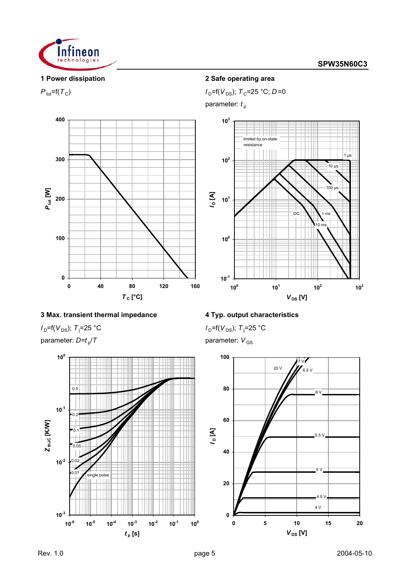

1 µs

## **1 Power dissipation 2 Safe operating area**

 $P_{\text{tot}} = f(T_C)$  *I*  $D = f(V_{DS})$ ;  $T_C = 25 \text{ °C}$ ;  $D = 0$ 

parameter:  $t_{\text{p}}$ 







## **3 Max. transient thermal impedance 4 Typ. output characteristics**

 $I_D$ =f( $V_{DS}$ );  $T_j$ =25 °C parameter:  $D=t_p/T$  parameter:  $V_{GS}$ 



 $I_D = f(V_{DS})$ ;  $T_j = 25 \text{ °C}$ 

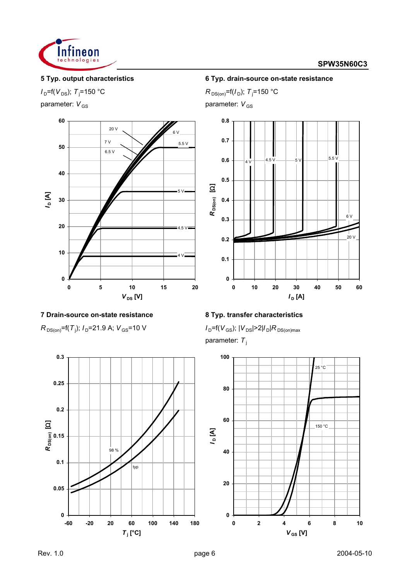

# $I_D = f(V_{DS})$ ; *T*<sub>j</sub>=150 °C



## **7 Drain-source on-state resistance 8 Typ. transfer characteristics**

 $R_{DS(on)}$ =f(*T*<sub>i</sub>);  $I_D$ =21.9 A;  $V_{GS}$ =10 V



## **5 Typ. output characteristics 6 Typ. drain-source on-state resistance**

=150 °C *R*  $_{\text{DS(on)}}$ =f(*I*<sub>D</sub>); *T*<sub>j</sub>=150 °C

parameter:  $V_{GS}$  parameter:  $V_{GS}$ 



 $I_D$ =f( $V_{GS}$ );  $|V_{DS}|$ >2| $I_D$ | $R_{DS(on)max}$ parameter: T<sub>j</sub>

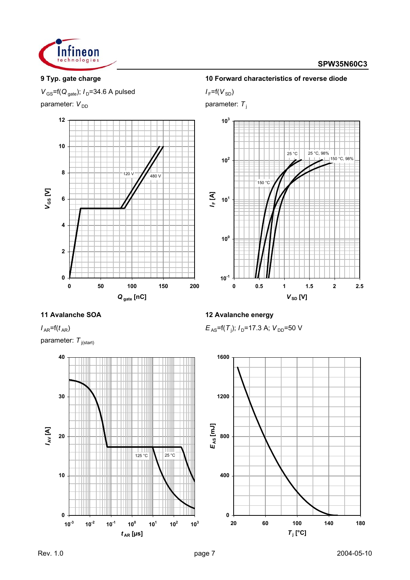

# **9 Typ. gate charge 10 Forward characteristics of reverse diode**

 $V_{\text{GS}}$ =f( $Q_{\text{gate}}$ );  $I_{\text{D}}$ =34.6 A pulsed  $I_{\text{F}}$ =f( $V_{\text{SD}}$ )

parameter:  $V_{DD}$  parameter: *T*<sub>j</sub>





 $I_{AR}$ =f( $t_{AR}$ ) parameter: T<sub>j(start)</sub>



 $E_{AS}$ =f(T<sub>i</sub>);  $I_D$ =17.3 A;  $V_{DD}$ =50 V

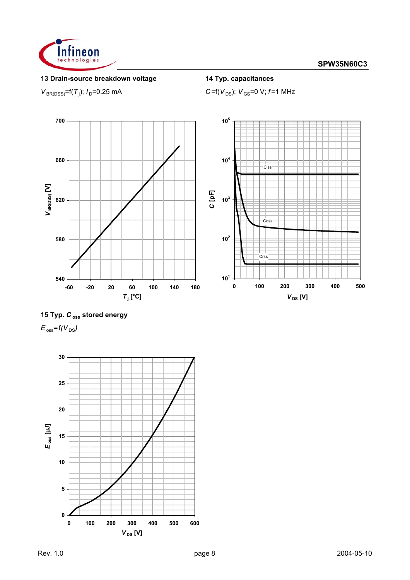

## **13 Drain-source breakdown voltage 14 Typ. capacitances**

 $V_{BR(DSS)}$ =f(*T*<sub>j</sub>);  $I_D$ =0.25 mA

 $C = f(V_{DS})$ ;  $V_{GS} = 0$  V;  $f = 1$  MHz



## **15 Typ.** *C* **oss stored energy**

 $E_{\text{oss}}$ =  $f(V_{DS})$ 

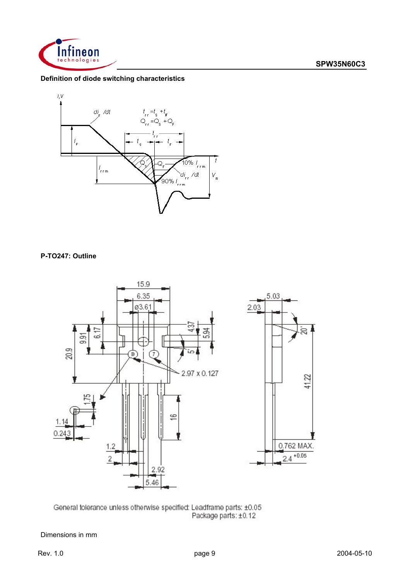

## **Definition of diode switching characteristics**



## **P-TO247: Outline**





Dimensions in mm